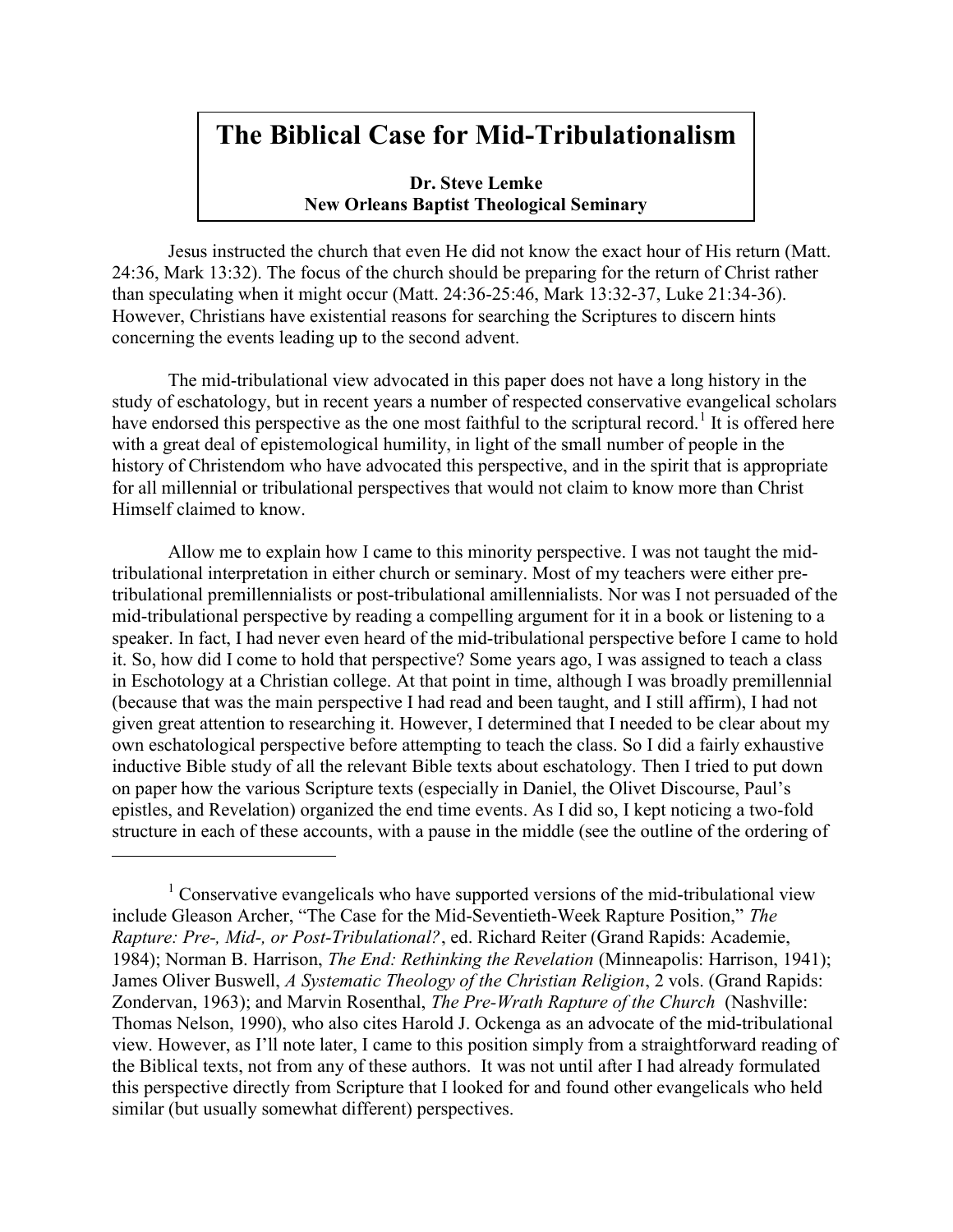# The Biblical Case for Mid-Tribulationalism

Dr. Steve Lemke New Orleans Baptist Theological Seminary

 Jesus instructed the church that even He did not know the exact hour of His return (Matt. 24:36, Mark 13:32). The focus of the church should be preparing for the return of Christ rather than speculating when it might occur (Matt. 24:36-25:46, Mark 13:32-37, Luke 21:34-36). However, Christians have existential reasons for searching the Scriptures to discern hints concerning the events leading up to the second advent.

The mid-tribulational view advocated in this paper does not have a long history in the study of eschatology, but in recent years a number of respected conservative evangelical scholars have endorsed this perspective as the one most faithful to the scriptural record.<sup>1</sup> It is offered here with a great deal of epistemological humility, in light of the small number of people in the history of Christendom who have advocated this perspective, and in the spirit that is appropriate for all millennial or tribulational perspectives that would not claim to know more than Christ Himself claimed to know.

Allow me to explain how I came to this minority perspective. I was not taught the midtribulational interpretation in either church or seminary. Most of my teachers were either pretribulational premillennialists or post-tribulational amillennialists. Nor was I not persuaded of the mid-tribulational perspective by reading a compelling argument for it in a book or listening to a speaker. In fact, I had never even heard of the mid-tribulational perspective before I came to hold it. So, how did I come to hold that perspective? Some years ago, I was assigned to teach a class in Eschotology at a Christian college. At that point in time, although I was broadly premillennial (because that was the main perspective I had read and been taught, and I still affirm), I had not given great attention to researching it. However, I determined that I needed to be clear about my own eschatological perspective before attempting to teach the class. So I did a fairly exhaustive inductive Bible study of all the relevant Bible texts about eschatology. Then I tried to put down on paper how the various Scripture texts (especially in Daniel, the Olivet Discourse, Paul's epistles, and Revelation) organized the end time events. As I did so, I kept noticing a two-fold structure in each of these accounts, with a pause in the middle (see the outline of the ordering of

 $1$  Conservative evangelicals who have supported versions of the mid-tribulational view include Gleason Archer, "The Case for the Mid-Seventieth-Week Rapture Position," The Rapture: Pre-, Mid-, or Post-Tribulational?, ed. Richard Reiter (Grand Rapids: Academie, 1984); Norman B. Harrison, The End: Rethinking the Revelation (Minneapolis: Harrison, 1941); James Oliver Buswell, A Systematic Theology of the Christian Religion, 2 vols. (Grand Rapids: Zondervan, 1963); and Marvin Rosenthal, The Pre-Wrath Rapture of the Church (Nashville: Thomas Nelson, 1990), who also cites Harold J. Ockenga as an advocate of the mid-tribulational view. However, as I'll note later, I came to this position simply from a straightforward reading of the Biblical texts, not from any of these authors. It was not until after I had already formulated this perspective directly from Scripture that I looked for and found other evangelicals who held similar (but usually somewhat different) perspectives.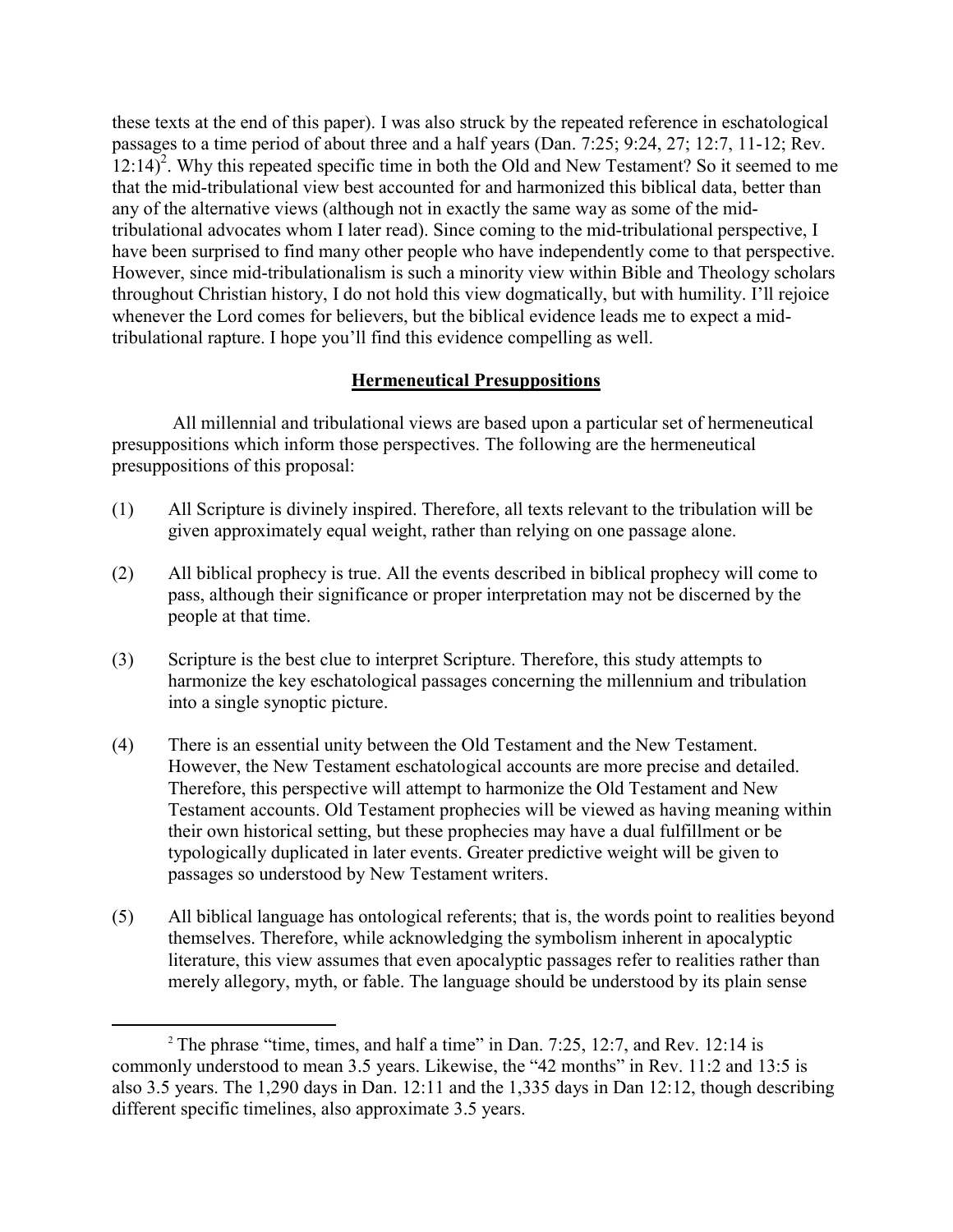these texts at the end of this paper). I was also struck by the repeated reference in eschatological passages to a time period of about three and a half years (Dan. 7:25; 9:24, 27; 12:7, 11-12; Rev.  $(12.14)^2$ . Why this repeated specific time in both the Old and New Testament? So it seemed to me that the mid-tribulational view best accounted for and harmonized this biblical data, better than any of the alternative views (although not in exactly the same way as some of the midtribulational advocates whom I later read). Since coming to the mid-tribulational perspective, I have been surprised to find many other people who have independently come to that perspective. However, since mid-tribulationalism is such a minority view within Bible and Theology scholars throughout Christian history, I do not hold this view dogmatically, but with humility. I'll rejoice whenever the Lord comes for believers, but the biblical evidence leads me to expect a midtribulational rapture. I hope you'll find this evidence compelling as well.

#### Hermeneutical Presuppositions

 All millennial and tribulational views are based upon a particular set of hermeneutical presuppositions which inform those perspectives. The following are the hermeneutical presuppositions of this proposal:

- (1) All Scripture is divinely inspired. Therefore, all texts relevant to the tribulation will be given approximately equal weight, rather than relying on one passage alone.
- (2) All biblical prophecy is true. All the events described in biblical prophecy will come to pass, although their significance or proper interpretation may not be discerned by the people at that time.
- (3) Scripture is the best clue to interpret Scripture. Therefore, this study attempts to harmonize the key eschatological passages concerning the millennium and tribulation into a single synoptic picture.
- (4) There is an essential unity between the Old Testament and the New Testament. However, the New Testament eschatological accounts are more precise and detailed. Therefore, this perspective will attempt to harmonize the Old Testament and New Testament accounts. Old Testament prophecies will be viewed as having meaning within their own historical setting, but these prophecies may have a dual fulfillment or be typologically duplicated in later events. Greater predictive weight will be given to passages so understood by New Testament writers.
- (5) All biblical language has ontological referents; that is, the words point to realities beyond themselves. Therefore, while acknowledging the symbolism inherent in apocalyptic literature, this view assumes that even apocalyptic passages refer to realities rather than merely allegory, myth, or fable. The language should be understood by its plain sense

<sup>&</sup>lt;sup>2</sup> The phrase "time, times, and half a time" in Dan. 7:25, 12:7, and Rev. 12:14 is commonly understood to mean 3.5 years. Likewise, the "42 months" in Rev. 11:2 and 13:5 is also 3.5 years. The 1,290 days in Dan. 12:11 and the 1,335 days in Dan 12:12, though describing different specific timelines, also approximate 3.5 years.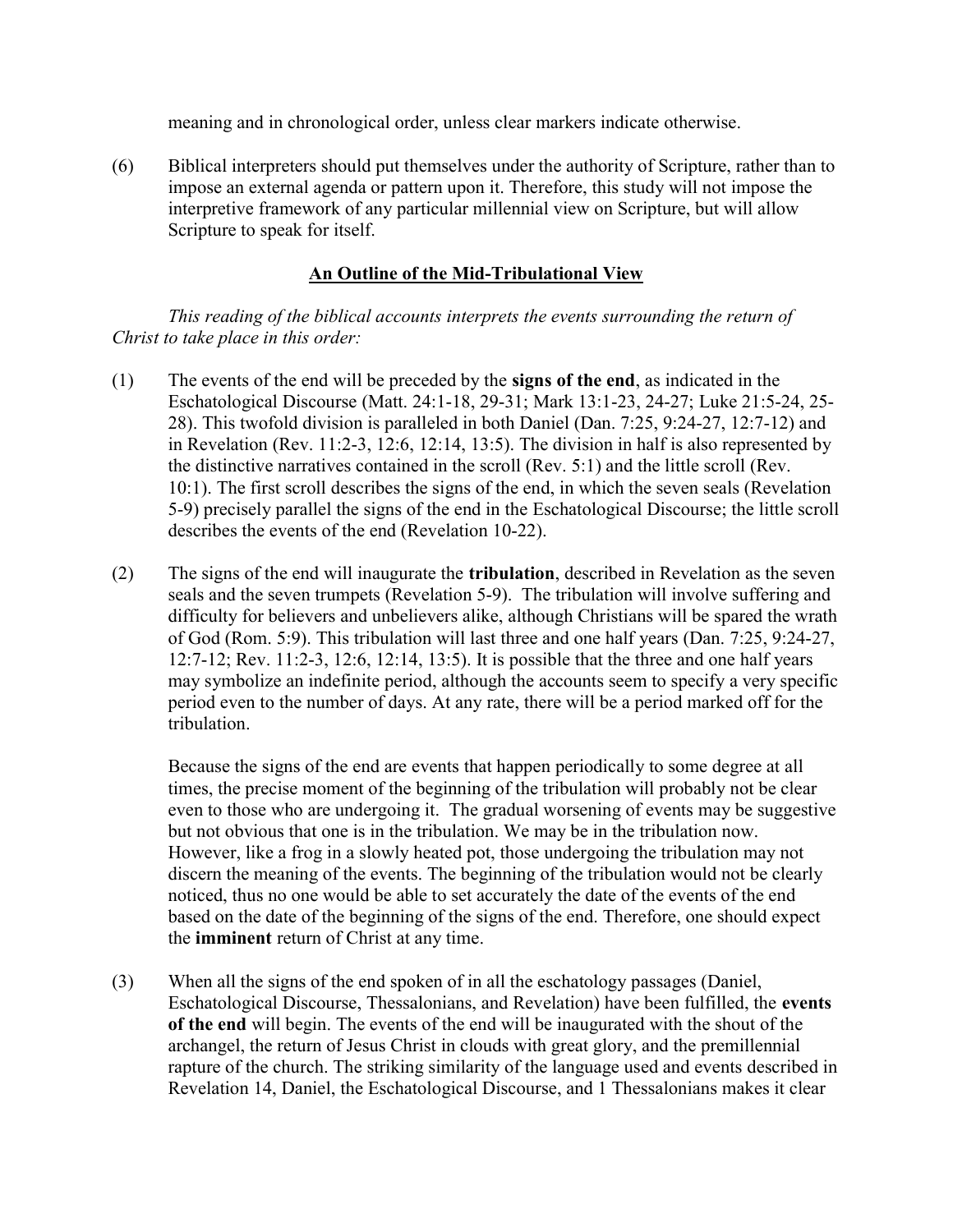meaning and in chronological order, unless clear markers indicate otherwise.

(6) Biblical interpreters should put themselves under the authority of Scripture, rather than to impose an external agenda or pattern upon it. Therefore, this study will not impose the interpretive framework of any particular millennial view on Scripture, but will allow Scripture to speak for itself.

#### An Outline of the Mid-Tribulational View

This reading of the biblical accounts interprets the events surrounding the return of Christ to take place in this order:

- (1) The events of the end will be preceded by the signs of the end, as indicated in the Eschatological Discourse (Matt. 24:1-18, 29-31; Mark 13:1-23, 24-27; Luke 21:5-24, 25- 28). This twofold division is paralleled in both Daniel (Dan. 7:25, 9:24-27, 12:7-12) and in Revelation (Rev. 11:2-3, 12:6, 12:14, 13:5). The division in half is also represented by the distinctive narratives contained in the scroll (Rev. 5:1) and the little scroll (Rev. 10:1). The first scroll describes the signs of the end, in which the seven seals (Revelation 5-9) precisely parallel the signs of the end in the Eschatological Discourse; the little scroll describes the events of the end (Revelation 10-22).
- (2) The signs of the end will inaugurate the tribulation, described in Revelation as the seven seals and the seven trumpets (Revelation 5-9). The tribulation will involve suffering and difficulty for believers and unbelievers alike, although Christians will be spared the wrath of God (Rom. 5:9). This tribulation will last three and one half years (Dan. 7:25, 9:24-27, 12:7-12; Rev. 11:2-3, 12:6, 12:14, 13:5). It is possible that the three and one half years may symbolize an indefinite period, although the accounts seem to specify a very specific period even to the number of days. At any rate, there will be a period marked off for the tribulation.

Because the signs of the end are events that happen periodically to some degree at all times, the precise moment of the beginning of the tribulation will probably not be clear even to those who are undergoing it. The gradual worsening of events may be suggestive but not obvious that one is in the tribulation. We may be in the tribulation now. However, like a frog in a slowly heated pot, those undergoing the tribulation may not discern the meaning of the events. The beginning of the tribulation would not be clearly noticed, thus no one would be able to set accurately the date of the events of the end based on the date of the beginning of the signs of the end. Therefore, one should expect the imminent return of Christ at any time.

(3) When all the signs of the end spoken of in all the eschatology passages (Daniel, Eschatological Discourse, Thessalonians, and Revelation) have been fulfilled, the events of the end will begin. The events of the end will be inaugurated with the shout of the archangel, the return of Jesus Christ in clouds with great glory, and the premillennial rapture of the church. The striking similarity of the language used and events described in Revelation 14, Daniel, the Eschatological Discourse, and 1 Thessalonians makes it clear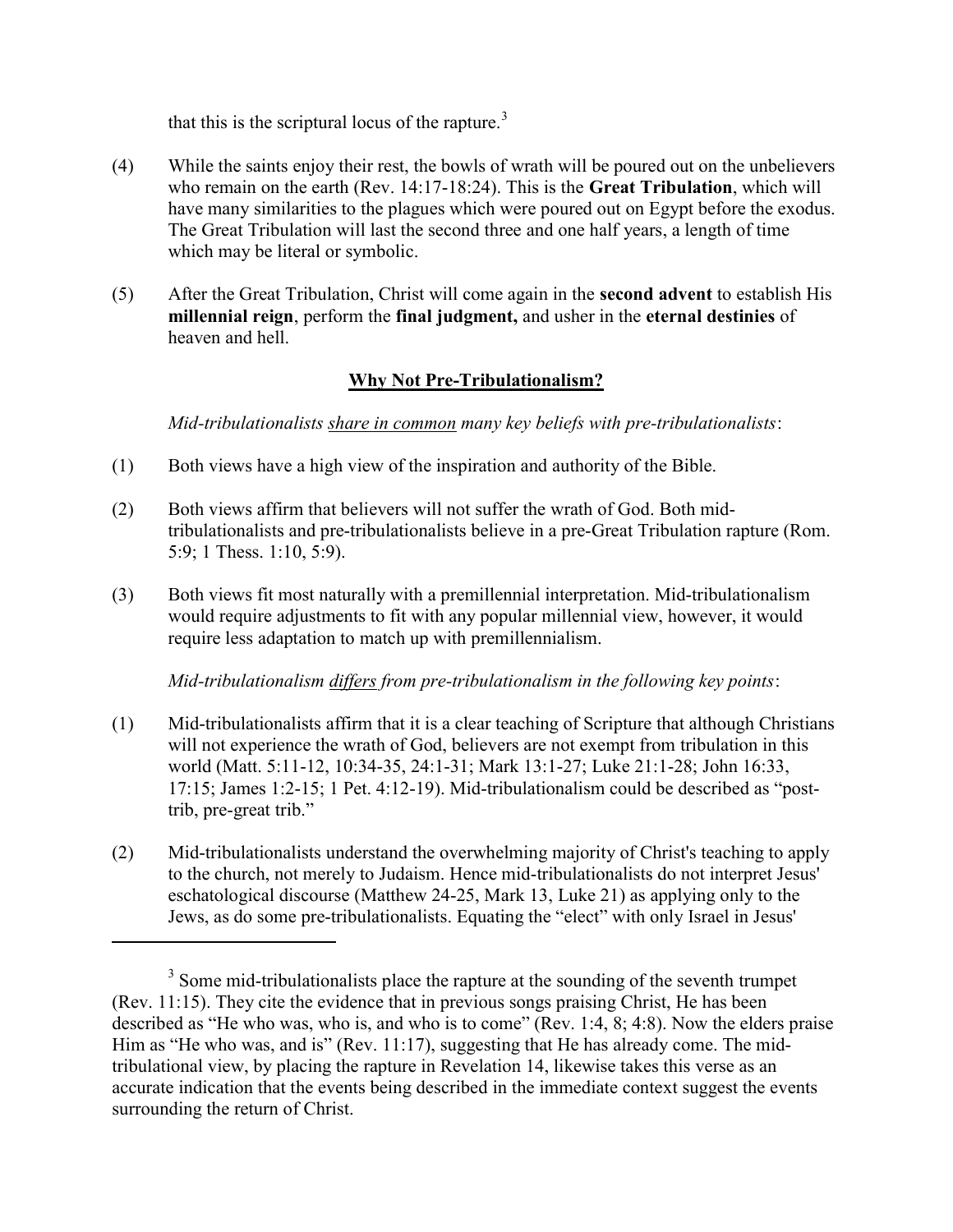that this is the scriptural locus of the rapture. $3$ 

- (4) While the saints enjoy their rest, the bowls of wrath will be poured out on the unbelievers who remain on the earth (Rev. 14:17-18:24). This is the Great Tribulation, which will have many similarities to the plagues which were poured out on Egypt before the exodus. The Great Tribulation will last the second three and one half years, a length of time which may be literal or symbolic.
- (5) After the Great Tribulation, Christ will come again in the second advent to establish His millennial reign, perform the final judgment, and usher in the eternal destinies of heaven and hell.

### Why Not Pre-Tribulationalism?

Mid-tribulationalists share in common many key beliefs with pre-tribulationalists:

- (1) Both views have a high view of the inspiration and authority of the Bible.
- (2) Both views affirm that believers will not suffer the wrath of God. Both midtribulationalists and pre-tribulationalists believe in a pre-Great Tribulation rapture (Rom. 5:9; 1 Thess. 1:10, 5:9).
- (3) Both views fit most naturally with a premillennial interpretation. Mid-tribulationalism would require adjustments to fit with any popular millennial view, however, it would require less adaptation to match up with premillennialism.

Mid-tribulationalism differs from pre-tribulationalism in the following key points:

- (1) Mid-tribulationalists affirm that it is a clear teaching of Scripture that although Christians will not experience the wrath of God, believers are not exempt from tribulation in this world (Matt. 5:11-12, 10:34-35, 24:1-31; Mark 13:1-27; Luke 21:1-28; John 16:33, 17:15; James 1:2-15; 1 Pet. 4:12-19). Mid-tribulationalism could be described as "posttrib, pre-great trib."
- (2) Mid-tribulationalists understand the overwhelming majority of Christ's teaching to apply to the church, not merely to Judaism. Hence mid-tribulationalists do not interpret Jesus' eschatological discourse (Matthew 24-25, Mark 13, Luke 21) as applying only to the Jews, as do some pre-tribulationalists. Equating the "elect" with only Israel in Jesus'

 $3$  Some mid-tribulationalists place the rapture at the sounding of the seventh trumpet (Rev. 11:15). They cite the evidence that in previous songs praising Christ, He has been described as "He who was, who is, and who is to come" (Rev. 1:4, 8; 4:8). Now the elders praise Him as "He who was, and is" (Rev. 11:17), suggesting that He has already come. The midtribulational view, by placing the rapture in Revelation 14, likewise takes this verse as an accurate indication that the events being described in the immediate context suggest the events surrounding the return of Christ.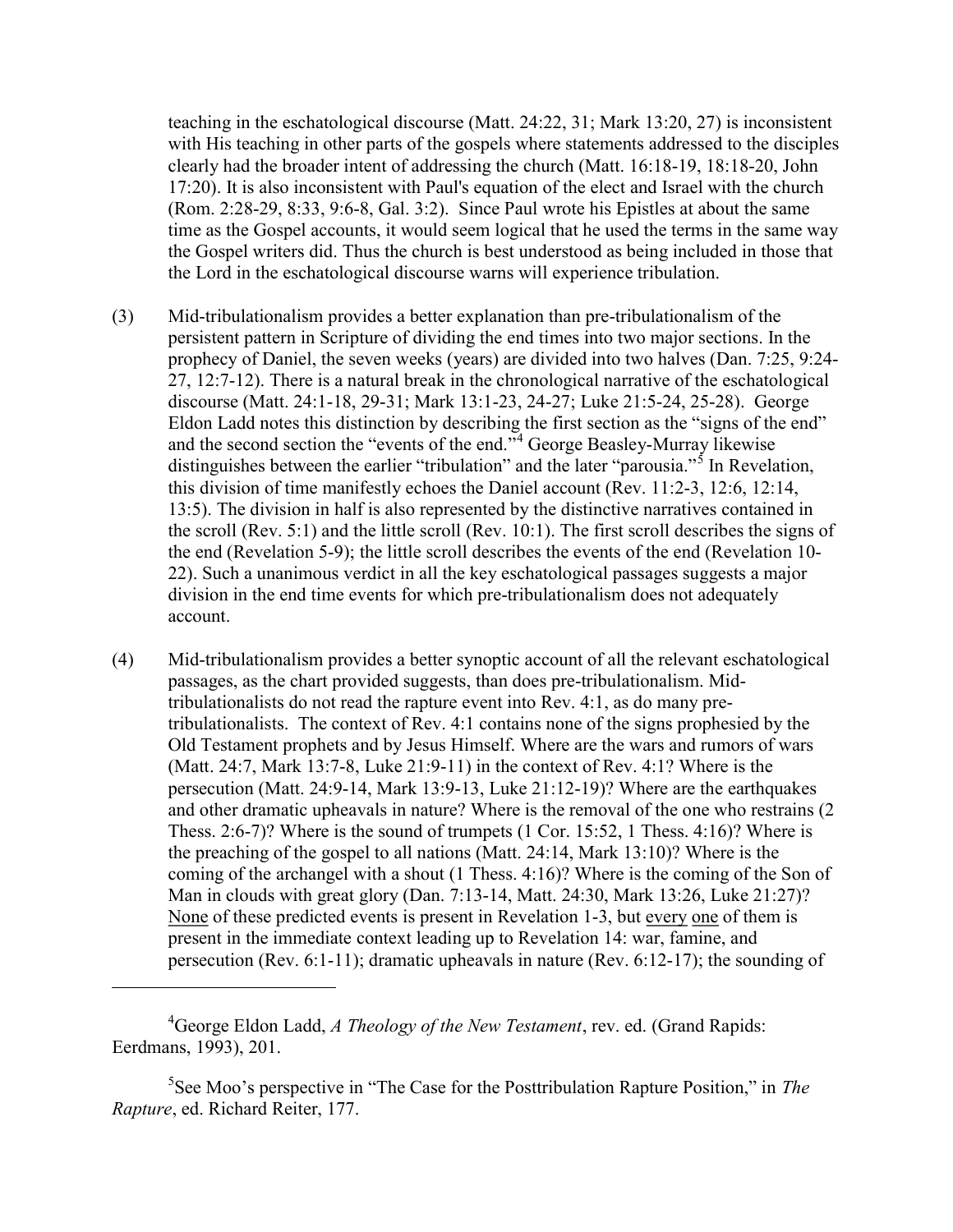teaching in the eschatological discourse (Matt. 24:22, 31; Mark 13:20, 27) is inconsistent with His teaching in other parts of the gospels where statements addressed to the disciples clearly had the broader intent of addressing the church (Matt. 16:18-19, 18:18-20, John 17:20). It is also inconsistent with Paul's equation of the elect and Israel with the church (Rom. 2:28-29, 8:33, 9:6-8, Gal. 3:2). Since Paul wrote his Epistles at about the same time as the Gospel accounts, it would seem logical that he used the terms in the same way the Gospel writers did. Thus the church is best understood as being included in those that the Lord in the eschatological discourse warns will experience tribulation.

- (3) Mid-tribulationalism provides a better explanation than pre-tribulationalism of the persistent pattern in Scripture of dividing the end times into two major sections. In the prophecy of Daniel, the seven weeks (years) are divided into two halves (Dan. 7:25, 9:24- 27, 12:7-12). There is a natural break in the chronological narrative of the eschatological discourse (Matt. 24:1-18, 29-31; Mark 13:1-23, 24-27; Luke 21:5-24, 25-28). George Eldon Ladd notes this distinction by describing the first section as the "signs of the end" and the second section the "events of the end."<sup>4</sup> George Beasley-Murray likewise distinguishes between the earlier "tribulation" and the later "parousia."<sup>5</sup> In Revelation, this division of time manifestly echoes the Daniel account (Rev. 11:2-3, 12:6, 12:14, 13:5). The division in half is also represented by the distinctive narratives contained in the scroll (Rev. 5:1) and the little scroll (Rev. 10:1). The first scroll describes the signs of the end (Revelation 5-9); the little scroll describes the events of the end (Revelation 10- 22). Such a unanimous verdict in all the key eschatological passages suggests a major division in the end time events for which pre-tribulationalism does not adequately account.
- (4) Mid-tribulationalism provides a better synoptic account of all the relevant eschatological passages, as the chart provided suggests, than does pre-tribulationalism. Midtribulationalists do not read the rapture event into Rev. 4:1, as do many pretribulationalists. The context of Rev. 4:1 contains none of the signs prophesied by the Old Testament prophets and by Jesus Himself. Where are the wars and rumors of wars (Matt. 24:7, Mark 13:7-8, Luke 21:9-11) in the context of Rev. 4:1? Where is the persecution (Matt. 24:9-14, Mark 13:9-13, Luke 21:12-19)? Where are the earthquakes and other dramatic upheavals in nature? Where is the removal of the one who restrains (2 Thess. 2:6-7)? Where is the sound of trumpets (1 Cor. 15:52, 1 Thess. 4:16)? Where is the preaching of the gospel to all nations (Matt. 24:14, Mark 13:10)? Where is the coming of the archangel with a shout (1 Thess. 4:16)? Where is the coming of the Son of Man in clouds with great glory (Dan. 7:13-14, Matt. 24:30, Mark 13:26, Luke 21:27)? None of these predicted events is present in Revelation 1-3, but every one of them is present in the immediate context leading up to Revelation 14: war, famine, and persecution (Rev. 6:1-11); dramatic upheavals in nature (Rev. 6:12-17); the sounding of

 ${}^{4}$ George Eldon Ladd, A Theology of the New Testament, rev. ed. (Grand Rapids: Eerdmans, 1993), 201.

<sup>&</sup>lt;sup>5</sup>See Moo's perspective in "The Case for the Posttribulation Rapture Position," in *The* Rapture, ed. Richard Reiter, 177.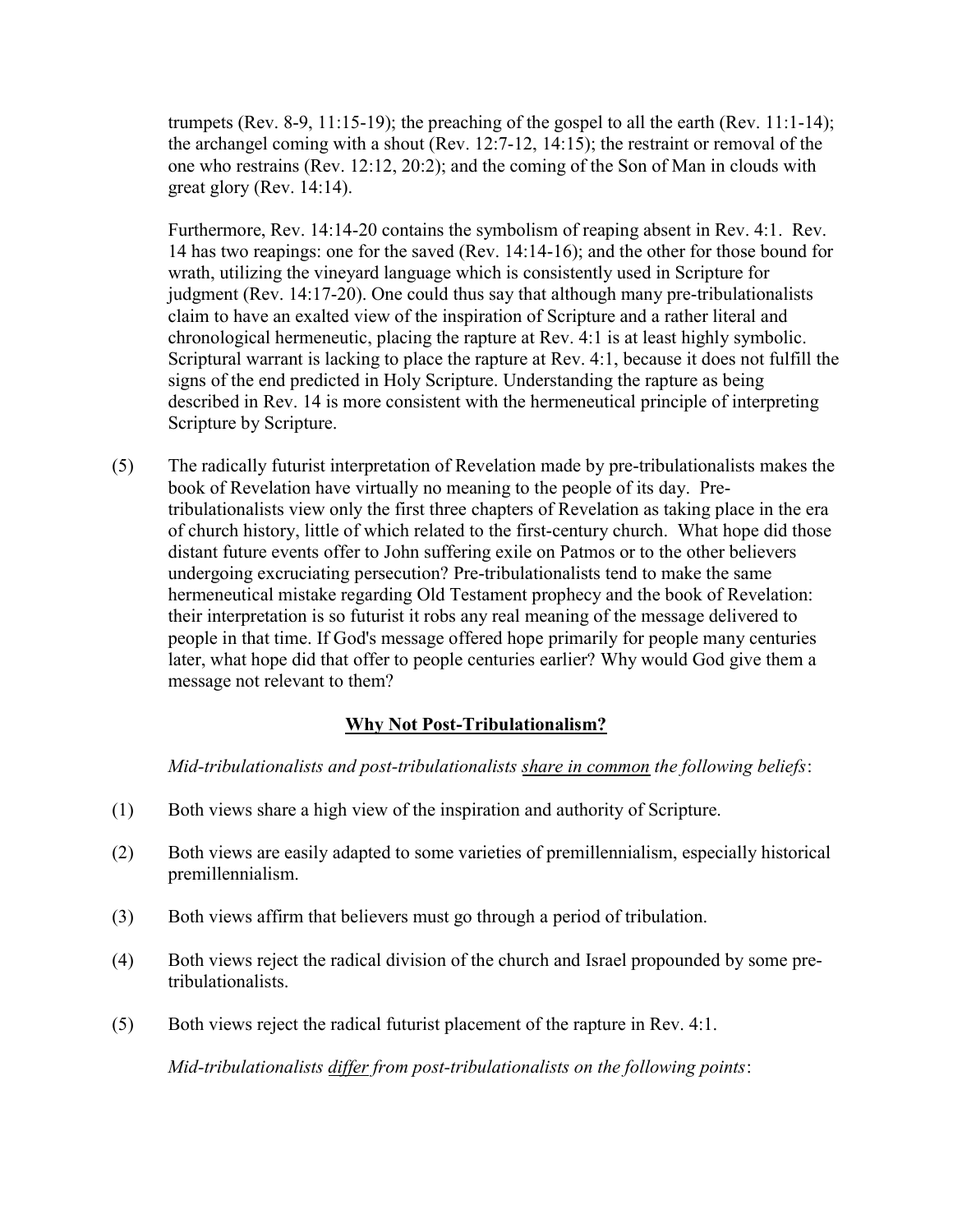trumpets (Rev. 8-9, 11:15-19); the preaching of the gospel to all the earth (Rev. 11:1-14); the archangel coming with a shout (Rev. 12:7-12, 14:15); the restraint or removal of the one who restrains (Rev. 12:12, 20:2); and the coming of the Son of Man in clouds with great glory (Rev. 14:14).

Furthermore, Rev. 14:14-20 contains the symbolism of reaping absent in Rev. 4:1. Rev. 14 has two reapings: one for the saved (Rev. 14:14-16); and the other for those bound for wrath, utilizing the vineyard language which is consistently used in Scripture for judgment (Rev. 14:17-20). One could thus say that although many pre-tribulationalists claim to have an exalted view of the inspiration of Scripture and a rather literal and chronological hermeneutic, placing the rapture at Rev. 4:1 is at least highly symbolic. Scriptural warrant is lacking to place the rapture at Rev. 4:1, because it does not fulfill the signs of the end predicted in Holy Scripture. Understanding the rapture as being described in Rev. 14 is more consistent with the hermeneutical principle of interpreting Scripture by Scripture.

(5) The radically futurist interpretation of Revelation made by pre-tribulationalists makes the book of Revelation have virtually no meaning to the people of its day. Pretribulationalists view only the first three chapters of Revelation as taking place in the era of church history, little of which related to the first-century church. What hope did those distant future events offer to John suffering exile on Patmos or to the other believers undergoing excruciating persecution? Pre-tribulationalists tend to make the same hermeneutical mistake regarding Old Testament prophecy and the book of Revelation: their interpretation is so futurist it robs any real meaning of the message delivered to people in that time. If God's message offered hope primarily for people many centuries later, what hope did that offer to people centuries earlier? Why would God give them a message not relevant to them?

## Why Not Post-Tribulationalism?

Mid-tribulationalists and post-tribulationalists share in common the following beliefs:

- (1) Both views share a high view of the inspiration and authority of Scripture.
- (2) Both views are easily adapted to some varieties of premillennialism, especially historical premillennialism.
- (3) Both views affirm that believers must go through a period of tribulation.
- (4) Both views reject the radical division of the church and Israel propounded by some pretribulationalists.
- (5) Both views reject the radical futurist placement of the rapture in Rev. 4:1.

Mid-tribulationalists differ from post-tribulationalists on the following points: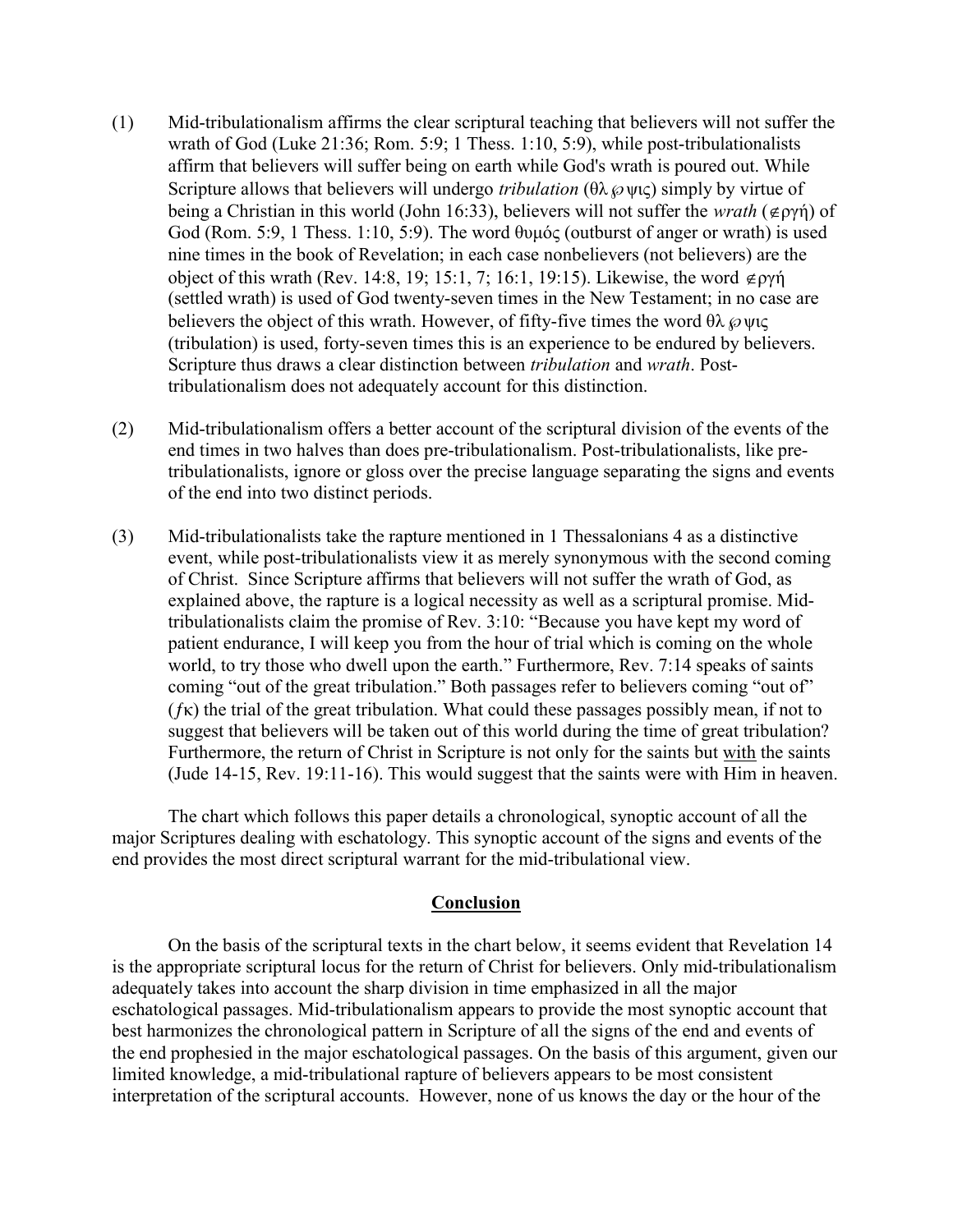- (1) Mid-tribulationalism affirms the clear scriptural teaching that believers will not suffer the wrath of God (Luke 21:36; Rom. 5:9; 1 Thess. 1:10, 5:9), while post-tribulationalists affirm that believers will suffer being on earth while God's wrath is poured out. While Scripture allows that believers will undergo *tribulation* ( $\theta \lambda \varnothing \psi c$ ) simply by virtue of being a Christian in this world (John 16:33), believers will not suffer the *wrath* ( $\notin$ ργή) of God (Rom. 5:9, 1 Thess. 1:10, 5:9). The word θυμός (outburst of anger or wrath) is used nine times in the book of Revelation; in each case nonbelievers (not believers) are the object of this wrath (Rev. 14:8, 19; 15:1, 7; 16:1, 19:15). Likewise, the word  $\notin \rho\gamma\gamma$ (settled wrath) is used of God twenty-seven times in the New Testament; in no case are believers the object of this wrath. However, of fifty-five times the word  $\theta \lambda \varnothing \psi$ ις (tribulation) is used, forty-seven times this is an experience to be endured by believers. Scripture thus draws a clear distinction between tribulation and wrath. Posttribulationalism does not adequately account for this distinction.
- (2) Mid-tribulationalism offers a better account of the scriptural division of the events of the end times in two halves than does pre-tribulationalism. Post-tribulationalists, like pretribulationalists, ignore or gloss over the precise language separating the signs and events of the end into two distinct periods.
- (3) Mid-tribulationalists take the rapture mentioned in 1 Thessalonians 4 as a distinctive event, while post-tribulationalists view it as merely synonymous with the second coming of Christ. Since Scripture affirms that believers will not suffer the wrath of God, as explained above, the rapture is a logical necessity as well as a scriptural promise. Midtribulationalists claim the promise of Rev. 3:10: "Because you have kept my word of patient endurance, I will keep you from the hour of trial which is coming on the whole world, to try those who dwell upon the earth." Furthermore, Rev. 7:14 speaks of saints coming "out of the great tribulation." Both passages refer to believers coming "out of"  $(f_{\mathcal{K}})$  the trial of the great tribulation. What could these passages possibly mean, if not to suggest that believers will be taken out of this world during the time of great tribulation? Furthermore, the return of Christ in Scripture is not only for the saints but with the saints (Jude 14-15, Rev. 19:11-16). This would suggest that the saints were with Him in heaven.

 The chart which follows this paper details a chronological, synoptic account of all the major Scriptures dealing with eschatology. This synoptic account of the signs and events of the end provides the most direct scriptural warrant for the mid-tribulational view.

#### Conclusion

 On the basis of the scriptural texts in the chart below, it seems evident that Revelation 14 is the appropriate scriptural locus for the return of Christ for believers. Only mid-tribulationalism adequately takes into account the sharp division in time emphasized in all the major eschatological passages. Mid-tribulationalism appears to provide the most synoptic account that best harmonizes the chronological pattern in Scripture of all the signs of the end and events of the end prophesied in the major eschatological passages. On the basis of this argument, given our limited knowledge, a mid-tribulational rapture of believers appears to be most consistent interpretation of the scriptural accounts. However, none of us knows the day or the hour of the